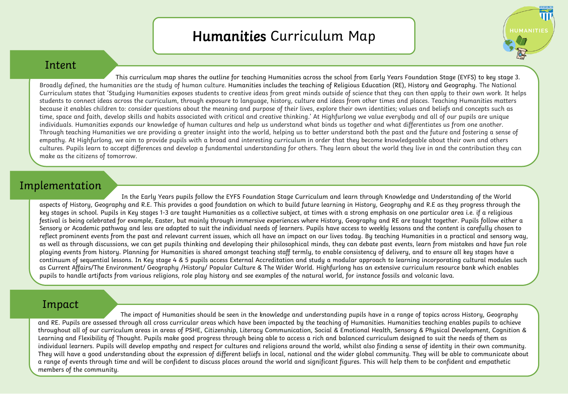## Humanities Curriculum Map

**HUMANITIE:** 

## Intent

This curriculum map shares the outline for teaching Humanities across the school from Early Years Foundation Stage (EYFS) to key stage 3. Broadly defined, the humanities are the study of human culture. Humanities includes the teaching of Religious Education (RE), History and Geography. The National Curriculum states that 'Studying Humanities exposes students to creative ideas from great minds outside of science that they can then apply to their own work. It helps students to connect ideas across the curriculum, through exposure to language, history, culture and ideas from other times and places. Teaching Humanities matters because it enables children to: consider questions about the meaning and purpose of their lives, explore their own identities; values and beliefs and concepts such as time, space and faith, develop skills and habits associated with critical and creative thinking.' At Highfurlong we value everybody and all of our pupils are unique individuals. Humanities expands our knowledge of human cultures and help us understand what binds us together and what differentiates us from one another. Through teaching Humanities we are providing a greater insight into the world, helping us to better understand both the past and the future and fostering a sense of empathy. At Highfurlong, we aim to provide pupils with a broad and interesting curriculum in order that they become knowledgeable about their own and others cultures. Pupils learn to accept differences and develop a fundamental understanding for others. They learn about the world they live in and the contribution they can make as the citizens of tomorrow.

## Implementation

In the Early Years pupils follow the EYFS Foundation Stage Curriculum and learn through Knowledge and Understanding of the World aspects of History, Geography and R.E. This provides a good foundation on which to build future learning in History, Geography and R.E as they progress through the key stages in school. Pupils in Key stages 1-3 are taught Humanities as a collective subject, at times with a strong emphasis on one particular area i.e. if a religious festival is being celebrated for example, Easter, but mainly through immersive experiences where History, Geography and RE are taught together. Pupils follow either a Sensory or Academic pathway and less are adapted to suit the individual needs of learners. Pupils have access to weekly lessons and the content is carefully chosen to reflect prominent events from the past and relevant current issues, which all have an impact on our lives today. By teaching Humanities in a practical and sensory way, as well as through discussions, we can get pupils thinking and developing their philosophical minds, they can debate past events, learn from mistakes and have fun role playing events from history. Planning for Humanities is shared amongst teaching staff termly, to enable consistency of delivery, and to ensure all key stages have a continuum of sequential lessons. In Key stage 4 & 5 pupils access External Accreditation and study a modular approach to learning incorporating cultural modules such as Current Affairs/The Environment/ Geography /History/ Popular Culture & The Wider World. Highfurlong has an extensive curriculum resource bank which enables pupils to handle artifacts from various religions, role play history and see examples of the natural world, for instance fossils and volcanic lava.

## Impact

The impact of Humanities should be seen in the knowledge and understanding pupils have in a range of topics across History, Geography and RE. Pupils are assessed through all cross curricular areas which have been impacted by the teaching of Humanities. Humanities teaching enables pupils to achieve throughout all of our curriculum areas in areas of PSHE, Citizenship, Literacy Communication, Social & Emotional Health, Sensory & Physical Development, Cognition & Learning and Flexibility of Thought. Pupils make good progress through being able to access a rich and balanced curriculum designed to suit the needs of them as individual learners. Pupils will develop empathy and respect for cultures and religions around the world, whilst also finding a sense of identity in their own community. They will have a good understanding about the expression of different beliefs in local, national and the wider global community. They will be able to communicate about a range of events through time and will be confident to discuss places around the world and significant figures. This will help them to be confident and empathetic members of the community.